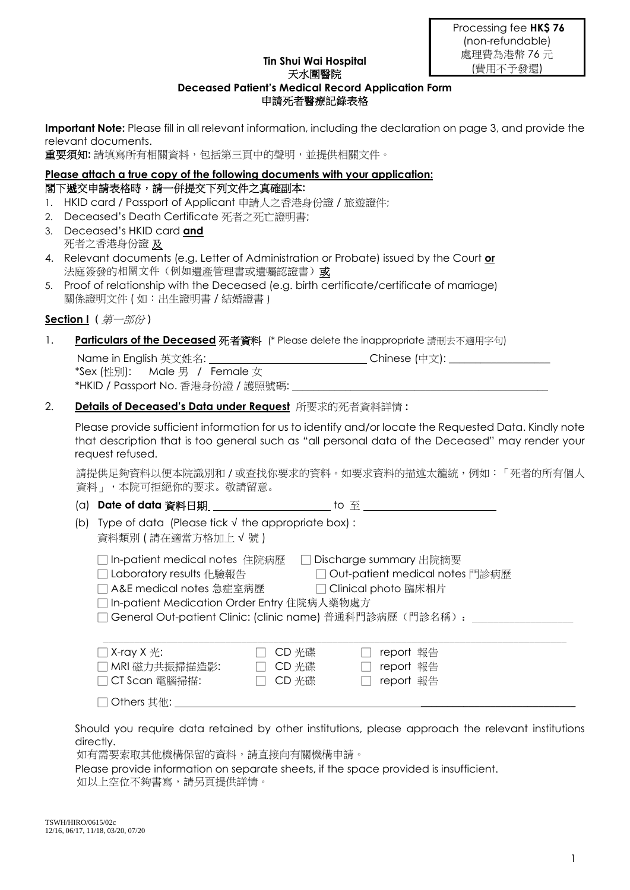#### **Tin Shui Wai Hospital**  天水圍醫院

# **Deceased Patient's Medical Record Application Form**  申請死者醫療記錄表格

**Important Note:** Please fill in all relevant information, including the declaration on page 3, and provide the relevant documents.

重要須知**:** 請填寫所有相關資料,包括第三頁中的聲明,並提供相關文件。

### **Please attach a true copy of the following documents with your application:**  閣下遞交申請表格時,請一併提交下列文件之真確副本**:**

- 1. HKID card / Passport of Applicant 申請人之香港身份證 / 旅遊證件;
- 2. Deceased's Death Certificate 死者之死亡證明書;
- 3. Deceased's HKID card **and** 死者之香港身份證 及
- 4. Relevant documents (e.g. Letter of Administration or Probate) issued by the Court **or** 法庭簽發的相關文件(例如遺產管理書或遺囑認證書)或
- 5. Proof of relationship with the Deceased (e.g. birth certificate/certificate of marriage) 關係證明文件 ( 如:出生證明書 / 結婚證書 )

# **Section I** *(* 第一部份 *)*

## 1. **Particulars of the Deceased** 死者資料(\* Please delete the inappropriate 請刪去不適用字句)

Name in English 英文姓名: \_\_\_\_\_\_\_\_\_\_\_\_\_\_\_\_\_\_\_\_\_\_\_\_\_\_\_\_\_\_\_\_\_Chinese (中文): \_\_\_\_\_\_\_\_\_\_\_\_ \*Sex (性別): Male 男 / Female 女 \*HKID / Passport No. 香港身份證 / 護照號碼: \_\_\_

## 2. **Details of Deceased's Data under Request** 所要求的死者資料詳情 **:**

Please provide sufficient information for us to identify and/or locate the Requested Data. Kindly note that description that is too general such as "all personal data of the Deceased" may render your request refused.

請提供足夠資料以便本院識別和 / 或查找你要求的資料。如要求資料的描述太籠統,例如:「死者的所有個人 資料」,本院可拒絕你的要求。敬請留意。

(a) **Date of data** 資料日期 to 至

(b) Type of data (Please tick √ the appropriate box) : 資料類別 ( 請在適當方格加上 √ 號 )

|  | □ In-patient medical notes 住院病歷 □ Discharge summary 出院摘要 |
|--|----------------------------------------------------------|

□ Laboratory results 化驗報告 □ Out-patient medical notes 門診病歷

- □ A&E medical notes 急症室病歷 □ □ Clinical photo 臨床相片
	- □ In-patient Medication Order Entry 住院病人藥物處方

□ General Out-patient Clinic: (clinic name) 普通科門診病歷(門診名稱):

| $\Box$ X-ray X $\#$ : | '   CD 光碟 | report 報告 |  |
|-----------------------|-----------|-----------|--|
| □ MRI 磁力共振掃描造影:       | │ CD 光碟   | report 報告 |  |
| □ CT Scan 電腦掃描:       | □ CD 光碟   | report 報告 |  |
| □ Others 其他:          |           |           |  |

Should you require data retained by other institutions, please approach the relevant institutions directly.

如有需要索取其他機構保留的資料,請直接向有關機構申請。

Please provide information on separate sheets, if the space provided is insufficient. 如以上空位不夠書寫,請另頁提供詳情。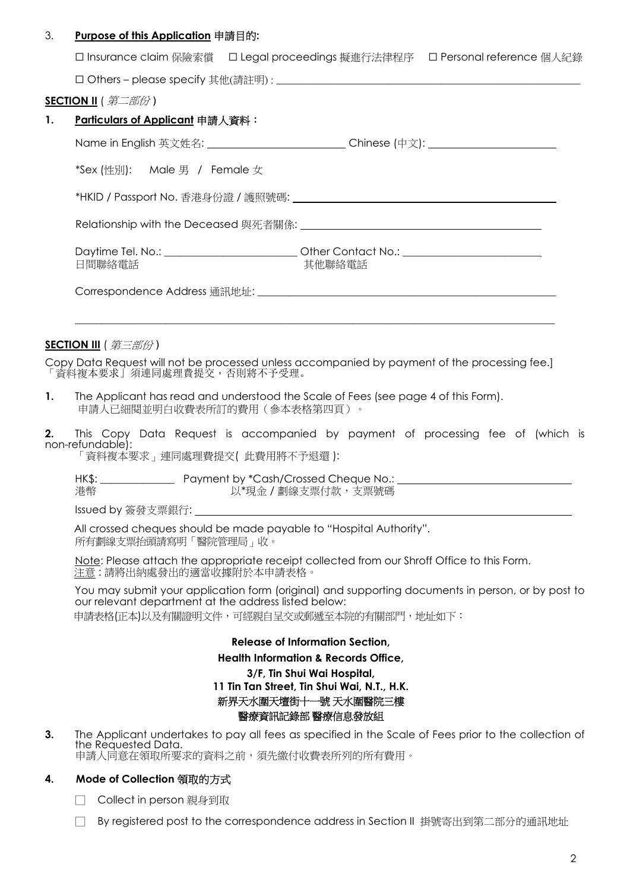### 3. **Purpose of this Application** 申請目的**:**

|  | □ Insurance claim 保險索償 □ Legal proceedings 擬進行法律程序 □ Personal reference 個人紀錄 |  |
|--|------------------------------------------------------------------------------|--|
|--|------------------------------------------------------------------------------|--|

□ Others – please specify 其他(請註明) : \_

#### **SECTION II** ( 第二部份 *)*

|                              | Chinese (中文): _____________________________                                                 |
|------------------------------|---------------------------------------------------------------------------------------------|
| *Sex (性別): Male 男 / Female 女 |                                                                                             |
|                              |                                                                                             |
|                              |                                                                                             |
| 日間聯絡電話                       | Daytime Tel. No.: _____________________________Other Contact No.: _______________<br>其他聯絡電話 |
|                              |                                                                                             |

#### **SECTION III** ( 第三部份 *)*

Copy Data Request will not be processed unless accompanied by payment of the processing fee.] 「資料複本要求」須連同處理費提交,否則將不予受理。

**1.** The Applicant has read and understood the Scale of Fees (see page 4 of this Form). 申請人已細閱並明白收費表所訂的費用(參本表格第四頁)。

**2.** This Copy Data Request is accompanied by payment of processing fee of (which is non-refundable):

「資料複本要求」連同處理費提交( 此費用將不予退還 ):

| HK\$: | Payment by *Cash/Crossed Cheque No.: |  |
|-------|--------------------------------------|--|
| 港幣    | 以*現金 / 劃線支票付款,支票號碼                   |  |

Issued by 簽發支票銀行:

 All crossed cheques should be made payable to "Hospital Authority". 所有劃線支票抬頭請寫明「醫院管理局」收。

 Note: Please attach the appropriate receipt collected from our Shroff Office to this Form. 注意 : 請將出納處發出的適當收據附於本申請表格。

You may submit your application form (original) and supporting documents in person, or by post to our relevant department at the address listed below:

申請表格(正本)以及有關證明文件,可經親自呈交或郵遞至本院的有關部門,地址如下:

**Release of Information Section,** 

#### **Health Information & Records Office,**

**3/F, Tin Shui Wai Hospital, 11 Tin Tan Street, Tin Shui Wai, N.T., H.K.**  新界天水圍天壇街十一號 天水圍醫院三樓 醫療資訊記錄部 醫療信息發放組

**3.** The Applicant undertakes to pay all fees as specified in the Scale of Fees prior to the collection of the Requested Data. 申請人同意在領取所要求的資料之前,須先繳付收費表所列的所有費用。

### **4. Mode of Collection** 領取的方式

□ Collect in person 親身到取

By registered post to the correspondence address in Section II 掛號寄出到第二部分的通訊地址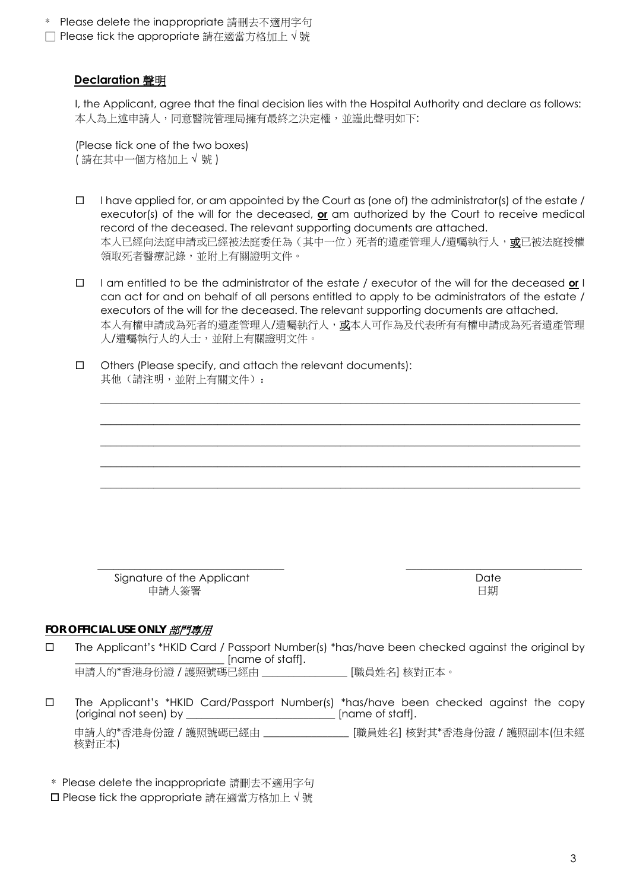- \* Please delete the inappropriate 請刪去不適用字句
- □ Please tick the appropriate 請在適當方格加上 √ 號

## **Declaration** 聲明

 I, the Applicant, agree that the final decision lies with the Hospital Authority and declare as follows: 本人為上述申請人,同意醫院管理局擁有最終之決定權,並謹此聲明如下:

 (Please tick one of the two boxes) ( 請在其中一個方格加上 **√** 號 )

- $\Box$  I have applied for, or am appointed by the Court as (one of) the administrator(s) of the estate / executor(s) of the will for the deceased, **or** am authorized by the Court to receive medical record of the deceased. The relevant supporting documents are attached. 本人已經向法庭申請或已經被法庭委任為(其中一位)死者的遺產管理人/遺囑執行人,或已被法庭授權 領取死者醫療記錄,並附上有關證明文件。
- I am entitled to be the administrator of the estate / executor of the will for the deceased **or** I can act for and on behalf of all persons entitled to apply to be administrators of the estate / executors of the will for the deceased. The relevant supporting documents are attached. 本人有權申請成為死者的遺產管理人/遺囑執行人,或本人可作為及代表所有有權申請成為死者遺產管理 人/遺囑執行人的人士,並附上有關證明文件。

\_\_\_\_\_\_\_\_\_\_\_\_\_\_\_\_\_\_\_\_\_\_\_\_\_\_\_\_\_\_\_\_\_\_\_\_\_\_\_\_\_\_\_\_\_\_\_\_\_\_\_\_\_\_\_\_\_\_\_\_\_\_\_\_\_\_\_\_\_\_\_\_\_\_\_\_\_\_\_\_\_\_\_\_\_\_\_\_\_\_ \_\_\_\_\_\_\_\_\_\_\_\_\_\_\_\_\_\_\_\_\_\_\_\_\_\_\_\_\_\_\_\_\_\_\_\_\_\_\_\_\_\_\_\_\_\_\_\_\_\_\_\_\_\_\_\_\_\_\_\_\_\_\_\_\_\_\_\_\_\_\_\_\_\_\_\_\_\_\_\_\_\_\_\_\_\_\_\_\_\_  $\_$  , and the set of the set of the set of the set of the set of the set of the set of the set of the set of the set of the set of the set of the set of the set of the set of the set of the set of the set of the set of th \_\_\_\_\_\_\_\_\_\_\_\_\_\_\_\_\_\_\_\_\_\_\_\_\_\_\_\_\_\_\_\_\_\_\_\_\_\_\_\_\_\_\_\_\_\_\_\_\_\_\_\_\_\_\_\_\_\_\_\_\_\_\_\_\_\_\_\_\_\_\_\_\_\_\_\_\_\_\_\_\_\_\_\_\_\_\_\_\_\_

\_\_\_\_\_\_\_\_\_\_\_\_\_\_\_\_\_\_\_\_\_\_\_\_\_\_\_\_\_\_\_\_\_\_\_\_\_\_\_\_\_\_\_\_\_\_\_\_\_\_\_\_\_\_\_\_\_\_\_\_\_\_\_\_\_\_\_\_\_\_\_\_\_\_\_\_\_\_\_\_\_\_\_\_\_\_\_\_\_\_

 $\Box$  Others (Please specify, and attach the relevant documents): 其他(請注明,並附上有關文件):

 $\frac{1}{2}$  ,  $\frac{1}{2}$  ,  $\frac{1}{2}$  ,  $\frac{1}{2}$  ,  $\frac{1}{2}$  ,  $\frac{1}{2}$  ,  $\frac{1}{2}$  ,  $\frac{1}{2}$  ,  $\frac{1}{2}$  ,  $\frac{1}{2}$  ,  $\frac{1}{2}$  ,  $\frac{1}{2}$  ,  $\frac{1}{2}$  ,  $\frac{1}{2}$  ,  $\frac{1}{2}$  ,  $\frac{1}{2}$  ,  $\frac{1}{2}$  ,  $\frac{1}{2}$  ,  $\frac{1$ Signature of the Applicant Date Date Date Date Date 申請人簽署 マンコン しょうしょう しゅうしょく しゅうしょく 日期

### *FOR OFFICIAL USE ONLY* 部門專用

- The Applicant's \*HKID Card / Passport Number(s) \*has/have been checked against the original by Iname of staffl. 申請人的\*香港身份證 / 護照號碼已經由 \_\_\_\_\_\_\_\_\_\_\_\_\_\_\_\_ [職員姓名] 核對正本。
- The Applicant's \*HKID Card/Passport Number(s) \*has/have been checked against the copy (original not seen) by **Example 20** [name of staff]. 申請人的\*香港身份證 / 護照號碼已經由 \_\_\_\_\_\_\_\_\_\_\_\_\_\_\_\_ [職員姓名] 核對其\*香港身份證 / 護照副本(但未經 核對正本)
	- \* Please delete the inappropriate 請刪去不適用字句
	- Please tick the appropriate 請在適當方格加上 √ 號